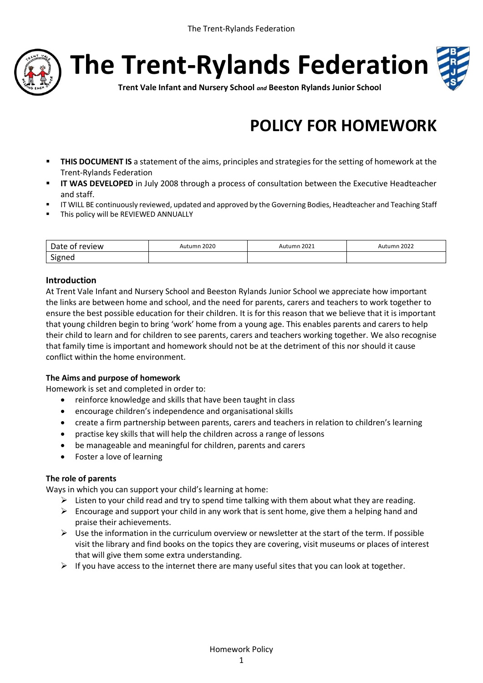

**The Trent-Rylands Federation**



**Trent Vale Infant and Nursery School** *and* **Beeston Rylands Junior School**

# **POLICY FOR HOMEWORK**

- **THIS DOCUMENT IS** a statement of the aims, principles and strategies for the setting of homework at the Trent-Rylands Federation
- **II WAS DEVELOPED** in July 2008 through a process of consultation between the Executive Headteacher and staff.
- IT WILL BE continuously reviewed, updated and approved by the Governing Bodies, Headteacher and Teaching Staff
- **This policy will be REVIEWED ANNUALLY**

| <b>Oate</b><br>review | 2020 | 2021<br>$\mathsf{I}$ mr | 2022 |
|-----------------------|------|-------------------------|------|
| Signeu                |      |                         |      |

#### **Introduction**

At Trent Vale Infant and Nursery School and Beeston Rylands Junior School we appreciate how important the links are between home and school, and the need for parents, carers and teachers to work together to ensure the best possible education for their children. It is for this reason that we believe that it is important that young children begin to bring 'work' home from a young age. This enables parents and carers to help their child to learn and for children to see parents, carers and teachers working together. We also recognise that family time is important and homework should not be at the detriment of this nor should it cause conflict within the home environment.

#### **The Aims and purpose of homework**

Homework is set and completed in order to:

- reinforce knowledge and skills that have been taught in class
- encourage children's independence and organisational skills
- create a firm partnership between parents, carers and teachers in relation to children's learning
- practise key skills that will help the children across a range of lessons
- be manageable and meaningful for children, parents and carers
- Foster a love of learning

#### **The role of parents**

Ways in which you can support your child's learning at home:

- $\triangleright$  Listen to your child read and try to spend time talking with them about what they are reading.
- $\triangleright$  Encourage and support your child in any work that is sent home, give them a helping hand and praise their achievements.
- $\triangleright$  Use the information in the curriculum overview or newsletter at the start of the term. If possible visit the library and find books on the topics they are covering, visit museums or places of interest that will give them some extra understanding.
- $\triangleright$  If you have access to the internet there are many useful sites that you can look at together.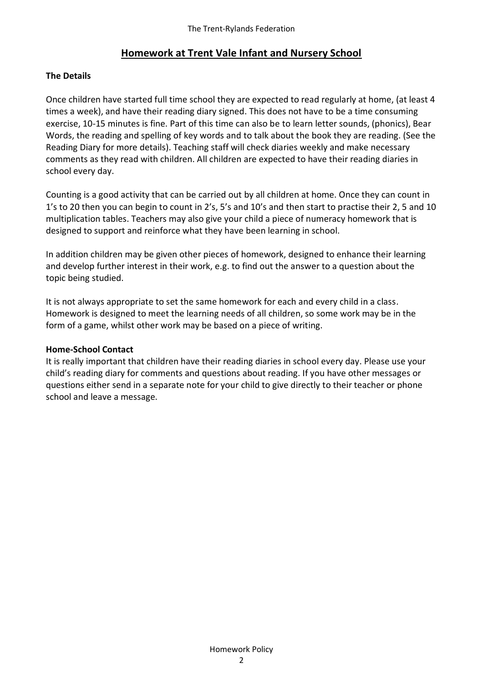# **Homework at Trent Vale Infant and Nursery School**

## **The Details**

Once children have started full time school they are expected to read regularly at home, (at least 4 times a week), and have their reading diary signed. This does not have to be a time consuming exercise, 10-15 minutes is fine. Part of this time can also be to learn letter sounds, (phonics), Bear Words, the reading and spelling of key words and to talk about the book they are reading. (See the Reading Diary for more details). Teaching staff will check diaries weekly and make necessary comments as they read with children. All children are expected to have their reading diaries in school every day.

Counting is a good activity that can be carried out by all children at home. Once they can count in 1's to 20 then you can begin to count in 2's, 5's and 10's and then start to practise their 2, 5 and 10 multiplication tables. Teachers may also give your child a piece of numeracy homework that is designed to support and reinforce what they have been learning in school.

In addition children may be given other pieces of homework, designed to enhance their learning and develop further interest in their work, e.g. to find out the answer to a question about the topic being studied.

It is not always appropriate to set the same homework for each and every child in a class. Homework is designed to meet the learning needs of all children, so some work may be in the form of a game, whilst other work may be based on a piece of writing.

## **Home-School Contact**

It is really important that children have their reading diaries in school every day. Please use your child's reading diary for comments and questions about reading. If you have other messages or questions either send in a separate note for your child to give directly to their teacher or phone school and leave a message.